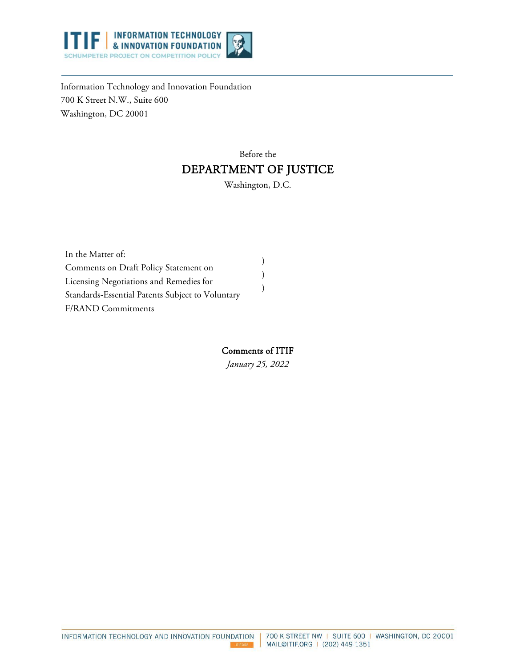

Information Technology and Innovation Foundation 700 K Street N.W., Suite 600 Washington, DC 20001

# Before the DEPARTMENT OF JUSTICE

Washington, D.C.

| In the Matter of:                                |  |
|--------------------------------------------------|--|
| Comments on Draft Policy Statement on            |  |
| Licensing Negotiations and Remedies for          |  |
| Standards-Essential Patents Subject to Voluntary |  |
| <b>F/RAND Commitments</b>                        |  |

### Comments of ITIF

*January 25, 2022*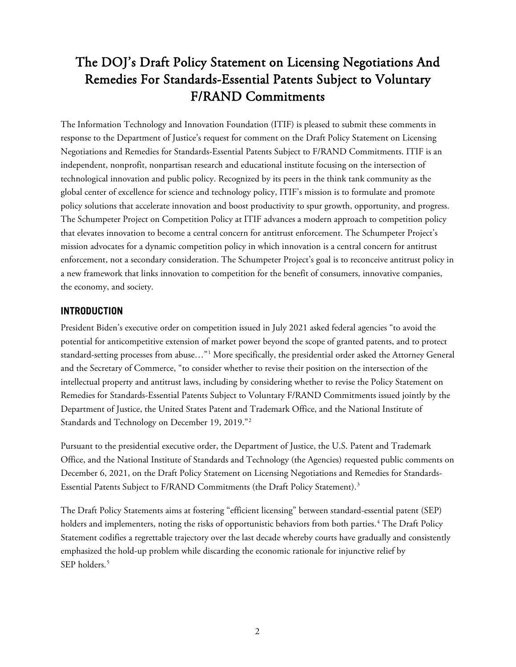# The DOJ's Draft Policy Statement on Licensing Negotiations And Remedies For Standards-Essential Patents Subject to Voluntary F/RAND Commitments

The Information Technology and Innovation Foundation (ITIF) is pleased to submit these comments in response to the Department of Justice's request for comment on the Draft Policy Statement on Licensing Negotiations and Remedies for Standards-Essential Patents Subject to F/RAND Commitments. ITIF is an independent, nonprofit, nonpartisan research and educational institute focusing on the intersection of technological innovation and public policy. Recognized by its peers in the think tank community as the global center of excellence for science and technology policy, ITIF's mission is to formulate and promote policy solutions that accelerate innovation and boost productivity to spur growth, opportunity, and progress. The Schumpeter Project on Competition Policy at ITIF advances a modern approach to competition policy that elevates innovation to become a central concern for antitrust enforcement. The Schumpeter Project's mission advocates for a dynamic competition policy in which innovation is a central concern for antitrust enforcement, not a secondary consideration. The Schumpeter Project's goal is to reconceive antitrust policy in a new framework that links innovation to competition for the benefit of consumers, innovative companies, the economy, and society.

## **INTRODUCTION**

President Biden's executive order on competition issued in July 2021 asked federal agencies "to avoid the potential for anticompetitive extension of market power beyond the scope of granted patents, and to protect standard-setting processes from abuse…"[1](#page-9-0) More specifically, the presidential order asked the Attorney General and the Secretary of Commerce, "to consider whether to revise their position on the intersection of the intellectual property and antitrust laws, including by considering whether to revise the Policy Statement on Remedies for Standards-Essential Patents Subject to Voluntary F/RAND Commitments issued jointly by the Department of Justice, the United States Patent and Trademark Office, and the National Institute of Standards and Technology on December 19, 2019."[2](#page-9-1)

Pursuant to the presidential executive order, the Department of Justice, the U.S. Patent and Trademark Office, and the National Institute of Standards and Technology (the Agencies) requested public comments on December 6, 2021, on the Draft Policy Statement on Licensing Negotiations and Remedies for Standards-Essential Patents Subject to F/RAND Commitments (the Draft Policy Statement).<sup>[3](#page-9-2)</sup>

The Draft Policy Statements aims at fostering "efficient licensing" between standard-essential patent (SEP) holders and implementers, noting the risks of opportunistic behaviors from both parties.<sup>[4](#page-10-0)</sup> The Draft Policy Statement codifies a regrettable trajectory over the last decade whereby courts have gradually and consistently emphasized the hold-up problem while discarding the economic rationale for injunctive relief by SEP holders.<sup>[5](#page-10-1)</sup>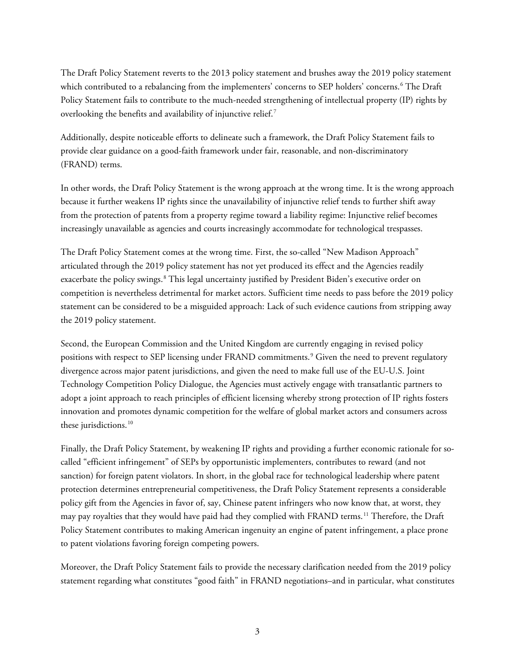The Draft Policy Statement reverts to the 2013 policy statement and brushes away the 2019 policy statement which contributed to a rebalancing from the implementers' concerns to SEP holders' concerns.<sup>[6](#page-10-2)</sup> The Draft Policy Statement fails to contribute to the much-needed strengthening of intellectual property (IP) rights by overlooking the benefits and availability of injunctive relief.<sup>[7](#page-10-3)</sup>

Additionally, despite noticeable efforts to delineate such a framework, the Draft Policy Statement fails to provide clear guidance on a good-faith framework under fair, reasonable, and non-discriminatory (FRAND) terms.

In other words, the Draft Policy Statement is the wrong approach at the wrong time. It is the wrong approach because it further weakens IP rights since the unavailability of injunctive relief tends to further shift away from the protection of patents from a property regime toward a liability regime: Injunctive relief becomes increasingly unavailable as agencies and courts increasingly accommodate for technological trespasses.

The Draft Policy Statement comes at the wrong time. First, the so-called "New Madison Approach" articulated through the 2019 policy statement has not yet produced its effect and the Agencies readily exacerbate the policy swings.<sup>[8](#page-10-4)</sup> This legal uncertainty justified by President Biden's executive order on competition is nevertheless detrimental for market actors. Sufficient time needs to pass before the 2019 policy statement can be considered to be a misguided approach: Lack of such evidence cautions from stripping away the 2019 policy statement.

Second, the European Commission and the United Kingdom are currently engaging in revised policy positions with respect to SEP licensing under FRAND commitments.<sup>[9](#page-10-5)</sup> Given the need to prevent regulatory divergence across major patent jurisdictions, and given the need to make full use of the EU-U.S. Joint Technology Competition Policy Dialogue, the Agencies must actively engage with transatlantic partners to adopt a joint approach to reach principles of efficient licensing whereby strong protection of IP rights fosters innovation and promotes dynamic competition for the welfare of global market actors and consumers across these jurisdictions.<sup>[10](#page-11-0)</sup>

Finally, the Draft Policy Statement, by weakening IP rights and providing a further economic rationale for socalled "efficient infringement" of SEPs by opportunistic implementers, contributes to reward (and not sanction) for foreign patent violators. In short, in the global race for technological leadership where patent protection determines entrepreneurial competitiveness, the Draft Policy Statement represents a considerable policy gift from the Agencies in favor of, say, Chinese patent infringers who now know that, at worst, they may pay royalties that they would have paid had they complied with FRAND terms.[11](#page-11-1) Therefore, the Draft Policy Statement contributes to making American ingenuity an engine of patent infringement, a place prone to patent violations favoring foreign competing powers.

Moreover, the Draft Policy Statement fails to provide the necessary clarification needed from the 2019 policy statement regarding what constitutes "good faith" in FRAND negotiations–and in particular, what constitutes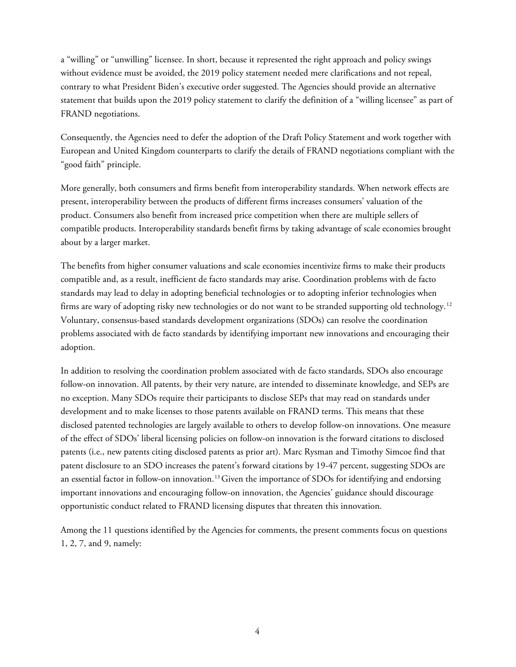a "willing" or "unwilling" licensee. In short, because it represented the right approach and policy swings without evidence must be avoided, the 2019 policy statement needed mere clarifications and not repeal, contrary to what President Biden's executive order suggested. The Agencies should provide an alternative statement that builds upon the 2019 policy statement to clarify the definition of a "willing licensee" as part of FRAND negotiations.

Consequently, the Agencies need to defer the adoption of the Draft Policy Statement and work together with European and United Kingdom counterparts to clarify the details of FRAND negotiations compliant with the "good faith" principle.

More generally, both consumers and firms benefit from interoperability standards. When network effects are present, interoperability between the products of different firms increases consumers' valuation of the product. Consumers also benefit from increased price competition when there are multiple sellers of compatible products. Interoperability standards benefit firms by taking advantage of scale economies brought about by a larger market.

The benefits from higher consumer valuations and scale economies incentivize firms to make their products compatible and, as a result, inefficient de facto standards may arise. Coordination problems with de facto standards may lead to delay in adopting beneficial technologies or to adopting inferior technologies when firms are wary of adopting risky new technologies or do not want to be stranded supporting old technology.[12](#page-11-2) Voluntary, consensus-based standards development organizations (SDOs) can resolve the coordination problems associated with de facto standards by identifying important new innovations and encouraging their adoption.

In addition to resolving the coordination problem associated with de facto standards, SDOs also encourage follow-on innovation. All patents, by their very nature, are intended to disseminate knowledge, and SEPs are no exception. Many SDOs require their participants to disclose SEPs that may read on standards under development and to make licenses to those patents available on FRAND terms. This means that these disclosed patented technologies are largely available to others to develop follow-on innovations. One measure of the effect of SDOs' liberal licensing policies on follow-on innovation is the forward citations to disclosed patents (i.e., new patents citing disclosed patents as prior art). Marc Rysman and Timothy Simcoe find that patent disclosure to an SDO increases the patent's forward citations by 19-47 percent, suggesting SDOs are an essential factor in follow-on innovation.[13](#page-11-3)Given the importance of SDOs for identifying and endorsing important innovations and encouraging follow-on innovation, the Agencies' guidance should discourage opportunistic conduct related to FRAND licensing disputes that threaten this innovation.

Among the 11 questions identified by the Agencies for comments, the present comments focus on questions 1, 2, 7, and 9, namely: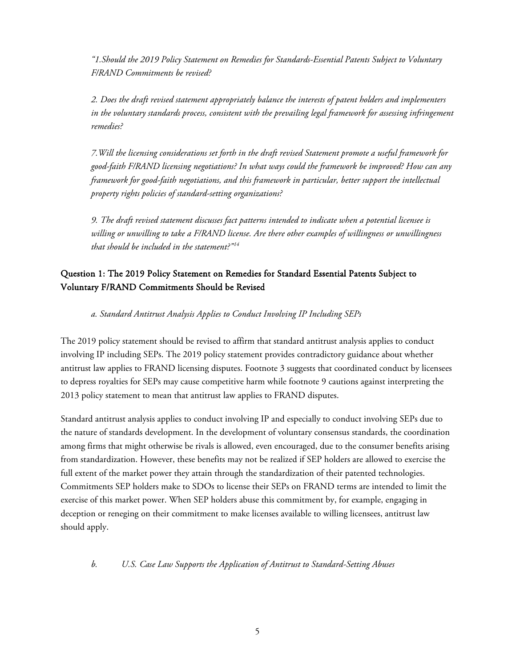*"1.Should the 2019 Policy Statement on Remedies for Standards-Essential Patents Subject to Voluntary F/RAND Commitments be revised?*

*2. Does the draft revised statement appropriately balance the interests of patent holders and implementers in the voluntary standards process, consistent with the prevailing legal framework for assessing infringement remedies?* 

*7.Will the licensing considerations set forth in the draft revised Statement promote a useful framework for good-faith F/RAND licensing negotiations? In what ways could the framework be improved? How can any framework for good-faith negotiations, and this framework in particular, better support the intellectual property rights policies of standard-setting organizations?* 

*9. The draft revised statement discusses fact patterns intended to indicate when a potential licensee is willing or unwilling to take a F/RAND license. Are there other examples of willingness or unwillingness that should be included in the statement?"[14](#page-11-4)*

# Question 1: The 2019 Policy Statement on Remedies for Standard Essential Patents Subject to Voluntary F/RAND Commitments Should be Revised

*a. Standard Antitrust Analysis Applies to Conduct Involving IP Including SEPs*

The 2019 policy statement should be revised to affirm that standard antitrust analysis applies to conduct involving IP including SEPs. The 2019 policy statement provides contradictory guidance about whether antitrust law applies to FRAND licensing disputes. Footnote 3 suggests that coordinated conduct by licensees to depress royalties for SEPs may cause competitive harm while footnote 9 cautions against interpreting the 2013 policy statement to mean that antitrust law applies to FRAND disputes.

Standard antitrust analysis applies to conduct involving IP and especially to conduct involving SEPs due to the nature of standards development. In the development of voluntary consensus standards, the coordination among firms that might otherwise be rivals is allowed, even encouraged, due to the consumer benefits arising from standardization. However, these benefits may not be realized if SEP holders are allowed to exercise the full extent of the market power they attain through the standardization of their patented technologies. Commitments SEP holders make to SDOs to license their SEPs on FRAND terms are intended to limit the exercise of this market power. When SEP holders abuse this commitment by, for example, engaging in deception or reneging on their commitment to make licenses available to willing licensees, antitrust law should apply.

*b. U.S. Case Law Supports the Application of Antitrust to Standard-Setting Abuses*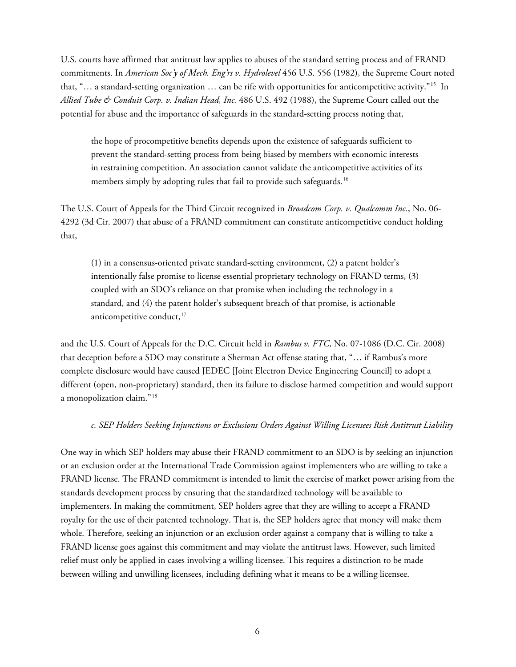U.S. courts have affirmed that antitrust law applies to abuses of the standard setting process and of FRAND commitments. In *American Soc'y of Mech. Eng'rs v. Hydrolevel* 456 U.S. 556 (1982), the Supreme Court noted that, "… a standard-setting organization … can be rife with opportunities for anticompetitive activity."[15](#page-11-5) In *Allied Tube & Conduit Corp. v. Indian Head, Inc.* 486 U.S. 492 (1988), the Supreme Court called out the potential for abuse and the importance of safeguards in the standard-setting process noting that,

the hope of procompetitive benefits depends upon the existence of safeguards sufficient to prevent the standard-setting process from being biased by members with economic interests in restraining competition. An association cannot validate the anticompetitive activities of its members simply by adopting rules that fail to provide such safeguards.<sup>[16](#page-11-6)</sup>

The U.S. Court of Appeals for the Third Circuit recognized in *Broadcom Corp. v. Qualcomm Inc.*, No. 06- 4292 (3d Cir. 2007) that abuse of a FRAND commitment can constitute anticompetitive conduct holding that,

(1) in a consensus-oriented private standard-setting environment, (2) a patent holder's intentionally false promise to license essential proprietary technology on FRAND terms, (3) coupled with an SDO's reliance on that promise when including the technology in a standard, and (4) the patent holder's subsequent breach of that promise, is actionable anticompetitive conduct, [17](#page-11-7)

and the U.S. Court of Appeals for the D.C. Circuit held in *Rambus v. FTC*, No. 07-1086 (D.C. Cir. 2008) that deception before a SDO may constitute a Sherman Act offense stating that, "… if Rambus's more complete disclosure would have caused JEDEC [Joint Electron Device Engineering Council] to adopt a different (open, non-proprietary) standard, then its failure to disclose harmed competition and would support a monopolization claim."[18](#page-11-8)

#### *c. SEP Holders Seeking Injunctions or Exclusions Orders Against Willing Licensees Risk Antitrust Liability*

One way in which SEP holders may abuse their FRAND commitment to an SDO is by seeking an injunction or an exclusion order at the International Trade Commission against implementers who are willing to take a FRAND license. The FRAND commitment is intended to limit the exercise of market power arising from the standards development process by ensuring that the standardized technology will be available to implementers. In making the commitment, SEP holders agree that they are willing to accept a FRAND royalty for the use of their patented technology. That is, the SEP holders agree that money will make them whole. Therefore, seeking an injunction or an exclusion order against a company that is willing to take a FRAND license goes against this commitment and may violate the antitrust laws. However, such limited relief must only be applied in cases involving a willing licensee. This requires a distinction to be made between willing and unwilling licensees, including defining what it means to be a willing licensee.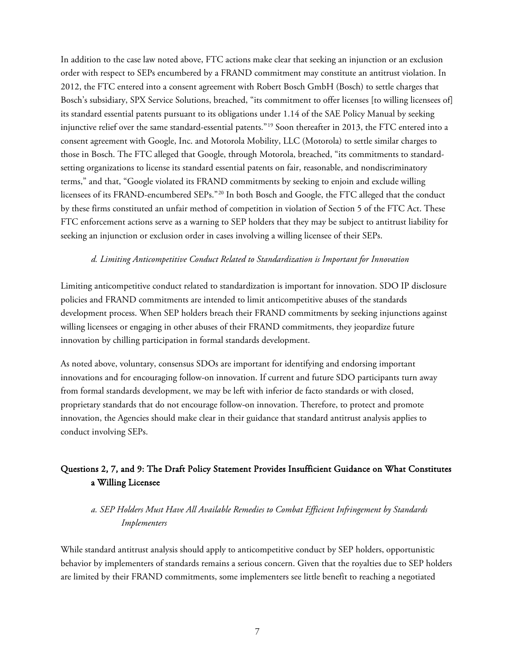In addition to the case law noted above, FTC actions make clear that seeking an injunction or an exclusion order with respect to SEPs encumbered by a FRAND commitment may constitute an antitrust violation. In 2012, the FTC entered into a consent agreement with Robert Bosch GmbH (Bosch) to settle charges that Bosch's subsidiary, SPX Service Solutions, breached, "its commitment to offer licenses [to willing licensees of] its standard essential patents pursuant to its obligations under 1.14 of the SAE Policy Manual by seeking injunctive relief over the same standard-essential patents."[19](#page-11-9) Soon thereafter in 2013, the FTC entered into a consent agreement with Google, Inc. and Motorola Mobility, LLC (Motorola) to settle similar charges to those in Bosch. The FTC alleged that Google, through Motorola, breached, "its commitments to standardsetting organizations to license its standard essential patents on fair, reasonable, and nondiscriminatory terms," and that, "Google violated its FRAND commitments by seeking to enjoin and exclude willing licensees of its FRAND-encumbered SEPs."[20](#page-11-10) In both Bosch and Google, the FTC alleged that the conduct by these firms constituted an unfair method of competition in violation of Section 5 of the FTC Act. These FTC enforcement actions serve as a warning to SEP holders that they may be subject to antitrust liability for seeking an injunction or exclusion order in cases involving a willing licensee of their SEPs.

#### *d. Limiting Anticompetitive Conduct Related to Standardization is Important for Innovation*

Limiting anticompetitive conduct related to standardization is important for innovation. SDO IP disclosure policies and FRAND commitments are intended to limit anticompetitive abuses of the standards development process. When SEP holders breach their FRAND commitments by seeking injunctions against willing licensees or engaging in other abuses of their FRAND commitments, they jeopardize future innovation by chilling participation in formal standards development.

As noted above, voluntary, consensus SDOs are important for identifying and endorsing important innovations and for encouraging follow-on innovation. If current and future SDO participants turn away from formal standards development, we may be left with inferior de facto standards or with closed, proprietary standards that do not encourage follow-on innovation. Therefore, to protect and promote innovation, the Agencies should make clear in their guidance that standard antitrust analysis applies to conduct involving SEPs.

# Questions 2, 7, and 9: The Draft Policy Statement Provides Insufficient Guidance on What Constitutes a Willing Licensee

## *a. SEP Holders Must Have All Available Remedies to Combat Efficient Infringement by Standards Implementers*

While standard antitrust analysis should apply to anticompetitive conduct by SEP holders, opportunistic behavior by implementers of standards remains a serious concern. Given that the royalties due to SEP holders are limited by their FRAND commitments, some implementers see little benefit to reaching a negotiated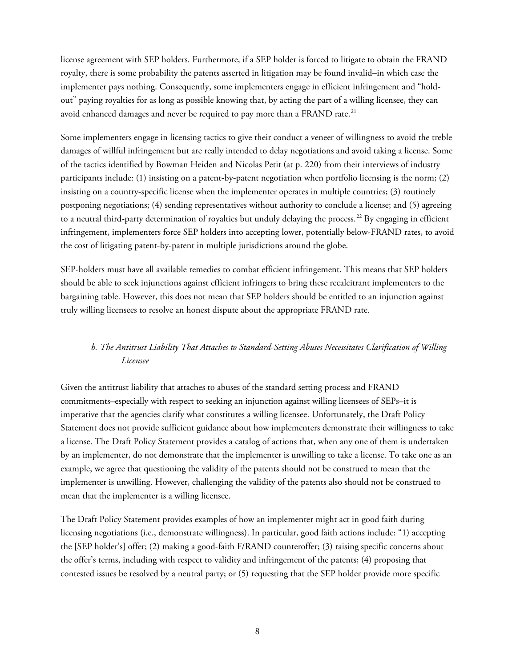license agreement with SEP holders. Furthermore, if a SEP holder is forced to litigate to obtain the FRAND royalty, there is some probability the patents asserted in litigation may be found invalid–in which case the implementer pays nothing. Consequently, some implementers engage in efficient infringement and "holdout" paying royalties for as long as possible knowing that, by acting the part of a willing licensee, they can avoid enhanced damages and never be required to pay more than a FRAND rate.<sup>[21](#page-11-11)</sup>

Some implementers engage in licensing tactics to give their conduct a veneer of willingness to avoid the treble damages of willful infringement but are really intended to delay negotiations and avoid taking a license. Some of the tactics identified by Bowman Heiden and Nicolas Petit (at p. 220) from their interviews of industry participants include: (1) insisting on a patent-by-patent negotiation when portfolio licensing is the norm; (2) insisting on a country-specific license when the implementer operates in multiple countries; (3) routinely postponing negotiations; (4) sending representatives without authority to conclude a license; and (5) agreeing to a neutral third-party determination of royalties but unduly delaying the process.<sup>[22](#page-11-12)</sup> By engaging in efficient infringement, implementers force SEP holders into accepting lower, potentially below-FRAND rates, to avoid the cost of litigating patent-by-patent in multiple jurisdictions around the globe.

SEP-holders must have all available remedies to combat efficient infringement. This means that SEP holders should be able to seek injunctions against efficient infringers to bring these recalcitrant implementers to the bargaining table. However, this does not mean that SEP holders should be entitled to an injunction against truly willing licensees to resolve an honest dispute about the appropriate FRAND rate.

# *b. The Antitrust Liability That Attaches to Standard-Setting Abuses Necessitates Clarification of Willing Licensee*

Given the antitrust liability that attaches to abuses of the standard setting process and FRAND commitments–especially with respect to seeking an injunction against willing licensees of SEPs–it is imperative that the agencies clarify what constitutes a willing licensee. Unfortunately, the Draft Policy Statement does not provide sufficient guidance about how implementers demonstrate their willingness to take a license. The Draft Policy Statement provides a catalog of actions that, when any one of them is undertaken by an implementer, do not demonstrate that the implementer is unwilling to take a license. To take one as an example, we agree that questioning the validity of the patents should not be construed to mean that the implementer is unwilling. However, challenging the validity of the patents also should not be construed to mean that the implementer is a willing licensee.

The Draft Policy Statement provides examples of how an implementer might act in good faith during licensing negotiations (i.e., demonstrate willingness). In particular, good faith actions include: "1) accepting the [SEP holder's] offer; (2) making a good-faith F/RAND counteroffer; (3) raising specific concerns about the offer's terms, including with respect to validity and infringement of the patents; (4) proposing that contested issues be resolved by a neutral party; or (5) requesting that the SEP holder provide more specific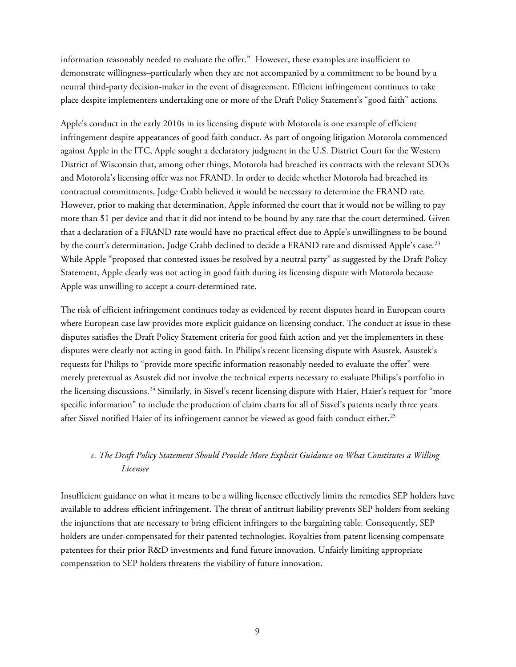information reasonably needed to evaluate the offer." However, these examples are insufficient to demonstrate willingness–particularly when they are not accompanied by a commitment to be bound by a neutral third-party decision-maker in the event of disagreement. Efficient infringement continues to take place despite implementers undertaking one or more of the Draft Policy Statement's "good faith" actions.

Apple's conduct in the early 2010s in its licensing dispute with Motorola is one example of efficient infringement despite appearances of good faith conduct. As part of ongoing litigation Motorola commenced against Apple in the ITC, Apple sought a declaratory judgment in the U.S. District Court for the Western District of Wisconsin that, among other things, Motorola had breached its contracts with the relevant SDOs and Motorola's licensing offer was not FRAND. In order to decide whether Motorola had breached its contractual commitments, Judge Crabb believed it would be necessary to determine the FRAND rate. However, prior to making that determination, Apple informed the court that it would not be willing to pay more than \$1 per device and that it did not intend to be bound by any rate that the court determined. Given that a declaration of a FRAND rate would have no practical effect due to Apple's unwillingness to be bound by the court's determination, Judge Crabb declined to decide a FRAND rate and dismissed Apple's case.<sup>[23](#page-11-13)</sup> While Apple "proposed that contested issues be resolved by a neutral party" as suggested by the Draft Policy Statement, Apple clearly was not acting in good faith during its licensing dispute with Motorola because Apple was unwilling to accept a court-determined rate.

The risk of efficient infringement continues today as evidenced by recent disputes heard in European courts where European case law provides more explicit guidance on licensing conduct. The conduct at issue in these disputes satisfies the Draft Policy Statement criteria for good faith action and yet the implementers in these disputes were clearly not acting in good faith. In Philips's recent licensing dispute with Asustek, Asustek's requests for Philips to "provide more specific information reasonably needed to evaluate the offer" were merely pretextual as Asustek did not involve the technical experts necessary to evaluate Philips's portfolio in the licensing discussions.<sup>[24](#page-11-14)</sup> Similarly, in Sisvel's recent licensing dispute with Haier, Haier's request for "more specific information" to include the production of claim charts for all of Sisvel's patents nearly three years after Sisvel notified Haier of its infringement cannot be viewed as good faith conduct either.<sup>[25](#page-11-15)</sup>

## *c. The Draft Policy Statement Should Provide More Explicit Guidance on What Constitutes a Willing Licensee*

Insufficient guidance on what it means to be a willing licensee effectively limits the remedies SEP holders have available to address efficient infringement. The threat of antitrust liability prevents SEP holders from seeking the injunctions that are necessary to bring efficient infringers to the bargaining table. Consequently, SEP holders are under-compensated for their patented technologies. Royalties from patent licensing compensate patentees for their prior R&D investments and fund future innovation. Unfairly limiting appropriate compensation to SEP holders threatens the viability of future innovation.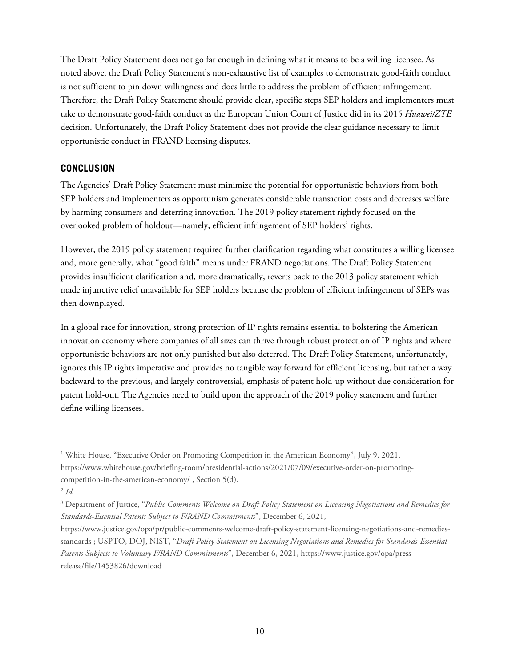The Draft Policy Statement does not go far enough in defining what it means to be a willing licensee. As noted above, the Draft Policy Statement's non-exhaustive list of examples to demonstrate good-faith conduct is not sufficient to pin down willingness and does little to address the problem of efficient infringement. Therefore, the Draft Policy Statement should provide clear, specific steps SEP holders and implementers must take to demonstrate good-faith conduct as the European Union Court of Justice did in its 2015 *Huawei/ZTE* decision. Unfortunately, the Draft Policy Statement does not provide the clear guidance necessary to limit opportunistic conduct in FRAND licensing disputes.

## **CONCLUSION**

The Agencies' Draft Policy Statement must minimize the potential for opportunistic behaviors from both SEP holders and implementers as opportunism generates considerable transaction costs and decreases welfare by harming consumers and deterring innovation. The 2019 policy statement rightly focused on the overlooked problem of holdout—namely, efficient infringement of SEP holders' rights.

However, the 2019 policy statement required further clarification regarding what constitutes a willing licensee and, more generally, what "good faith" means under FRAND negotiations. The Draft Policy Statement provides insufficient clarification and, more dramatically, reverts back to the 2013 policy statement which made injunctive relief unavailable for SEP holders because the problem of efficient infringement of SEPs was then downplayed.

In a global race for innovation, strong protection of IP rights remains essential to bolstering the American innovation economy where companies of all sizes can thrive through robust protection of IP rights and where opportunistic behaviors are not only punished but also deterred. The Draft Policy Statement, unfortunately, ignores this IP rights imperative and provides no tangible way forward for efficient licensing, but rather a way backward to the previous, and largely controversial, emphasis of patent hold-up without due consideration for patent hold-out. The Agencies need to build upon the approach of the 2019 policy statement and further define willing licensees.

<span id="page-9-0"></span><sup>&</sup>lt;sup>1</sup> White House, "Executive Order on Promoting Competition in the American Economy", July 9, 2021, [https://www.whitehouse.gov/briefing-room/presidential-actions/2021/07/09/executive-order-on-promoting](https://www.whitehouse.gov/briefing-room/presidential-actions/2021/07/09/executive-order-on-promoting-competition-in-the-american-economy/)[competition-in-the-american-economy/](https://www.whitehouse.gov/briefing-room/presidential-actions/2021/07/09/executive-order-on-promoting-competition-in-the-american-economy/) , Section 5(d).

<span id="page-9-1"></span> $^{2}$  *Id.* 

<span id="page-9-2"></span><sup>3</sup> Department of Justice, "*Public Comments Welcome on Draft Policy Statement on Licensing Negotiations and Remedies for Standards-Essential Patents Subject to F/RAND Commitments*", December 6, 2021,

[https://www.justice.gov/opa/pr/public-comments-welcome-draft-policy-statement-licensing-negotiations-and-remedies](https://www.justice.gov/opa/pr/public-comments-welcome-draft-policy-statement-licensing-negotiations-and-remedies-standards)[standards](https://www.justice.gov/opa/pr/public-comments-welcome-draft-policy-statement-licensing-negotiations-and-remedies-standards) ; USPTO, DOJ, NIST, "*Draft Policy Statement on Licensing Negotiations and Remedies for Standards-Essential Patents Subjects to Voluntary F/RAND Commitments*", December 6, 2021, [https://www.justice.gov/opa/press](https://www.justice.gov/opa/press-release/file/1453826/download)[release/file/1453826/download](https://www.justice.gov/opa/press-release/file/1453826/download)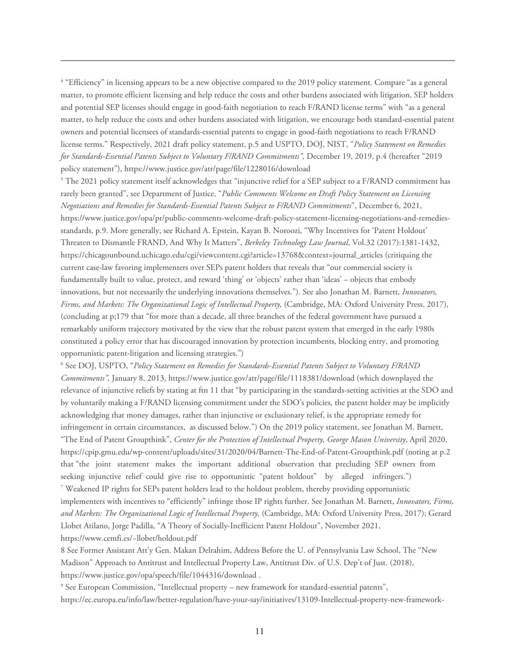<span id="page-10-0"></span><sup>4</sup> "Efficiency" in licensing appears to be a new objective compared to the 2019 policy statement. Compare "as a general matter, to promote efficient licensing and help reduce the costs and other burdens associated with litigation, SEP holders and potential SEP licenses should engage in good-faith negotiation to reach F/RAND license terms" with "as a general matter, to help reduce the costs and other burdens associated with litigation, we encourage both standard-essential patent owners and potential licensees of standards-essential patents to engage in good-faith negotiations to reach F/RAND license terms." Respectively, 2021 draft policy statement, p.5 and USPTO, DOJ, NIST, "*Policy Statement on Remedies for Standards-Essential Patents Subject to Voluntary F/RAND Commitments",* December 19, 2019, p.4 (hereafter "2019 policy statement")[, https://www.justice.gov/atr/page/file/1228016/download](https://www.justice.gov/atr/page/file/1228016/download)

<span id="page-10-1"></span><sup>5</sup> The 2021 policy statement itself acknowledges that "injunctive relief for a SEP subject to a F/RAND commitment has rarely been granted", see Department of Justice, "*Public Comments Welcome on Draft Policy Statement on Licensing Negotiations and Remedies for Standards-Essential Patents Subject to F/RAND Commitments*", December 6, 2021, [https://www.justice.gov/opa/pr/public-comments-welcome-draft-policy-statement-licensing-negotiations-and-remedies](https://www.justice.gov/opa/pr/public-comments-welcome-draft-policy-statement-licensing-negotiations-and-remedies-standards)[standards,](https://www.justice.gov/opa/pr/public-comments-welcome-draft-policy-statement-licensing-negotiations-and-remedies-standards) p.9. More generally, see Richard A. Epstein, Kayan B. Noroozi, "Why Incentives for 'Patent Holdout' Threaten to Dismantle FRAND, And Why It Matters", *Berkeley Technology Law Journal*, Vol.32 (2017):1381-1432, https://chicagounbound.uchicago.edu/cgi/viewcontent.cgi?article=13768&context=journal\_articles (critiquing the current case-law favoring implementers over SEPs patent holders that reveals that "our commercial society is fundamentally built to value, protect, and reward 'thing' or 'objects' rather than 'ideas' – objects that embody innovations, but not necessarily the underlying innovations themselves."). See also Jonathan M. Barnett, *Innovators, Firms, and Markets: The Organizational Logic of Intellectual Property,* (Cambridge, MA: Oxford University Press, 2017), (concluding at p;179 that "for more than a decade, all three branches of the federal government have pursued a remarkably uniform trajectory motivated by the view that the robust patent system that emerged in the early 1980s constituted a policy error that has discouraged innovation by protection incumbents, blocking entry, and promoting opportunistic patent-litigation and licensing strategies.")

<span id="page-10-2"></span><sup>6</sup> See DOJ, USPTO, "*Policy Statement on Remedies for Standards-Essential Patents Subject to Voluntary F/RAND Commitments",* January 8, 2013, https://www.justice.gov/atr/page/file/1118381/download (which downplayed the relevance of injunctive reliefs by stating at ftn 11 that "by participating in the standards-setting activities at the SDO and by voluntarily making a F/RAND licensing commitment under the SDO's policies, the patent holder may be implicitly acknowledging that money damages, rather than injunctive or exclusionary relief, is the appropriate remedy for infringement in certain circumstances, as discussed below.") On the 2019 policy statement, see Jonathan M. Barnett, "The End of Patent Groupthink", *Center for the Protection of Intellectual Property, George Mason University*, April 2020, <https://cpip.gmu.edu/wp-content/uploads/sites/31/2020/04/Barnett-The-End-of-Patent-Groupthink.pdf> (noting at p.2 that "the joint statement makes the important additional observation that precluding SEP owners from seeking injunctive relief could give rise to opportunistic "patent holdout" by alleged infringers.") <sup>7</sup> Weakened IP rights for SEPs patent holders lead to the holdout problem, thereby providing opportunistic implementers with incentives to "efficiently" infringe those IP rights further. See Jonathan M. Barnett, *Innovators, Firms, and Markets: The Organizational Logic of Intellectual Property,* (Cambridge, MA: Oxford University Press, 2017); Gerard Llobet Atilano, Jorge Padilla, "A Theory of Socially-Inefficient Patent Holdout", November 2021, [https://www.cemfi.es/~llobet/holdout.pdf](https://www.cemfi.es/%7Ellobet/holdout.pdf)

<span id="page-10-4"></span><span id="page-10-3"></span>8 See Former Assistant Att'y Gen. Makan Delrahim, Address Before the U. of Pennsylvania Law School, The "New Madison" Approach to Antitrust and Intellectual Property Law, Antitrust Div. of U.S. Dep't of Just. (2018), <https://www.justice.gov/opa/speech/file/1044316/download> .

<span id="page-10-5"></span><sup>9</sup> See European Commission, "Intellectual property – new framework for standard-essential patents", [https://ec.europa.eu/info/law/better-regulation/have-your-say/initiatives/13109-Intellectual-property-new-framework-](https://ec.europa.eu/info/law/better-regulation/have-your-say/initiatives/13109-Intellectual-property-new-framework-for-standard-essential-patents_en)